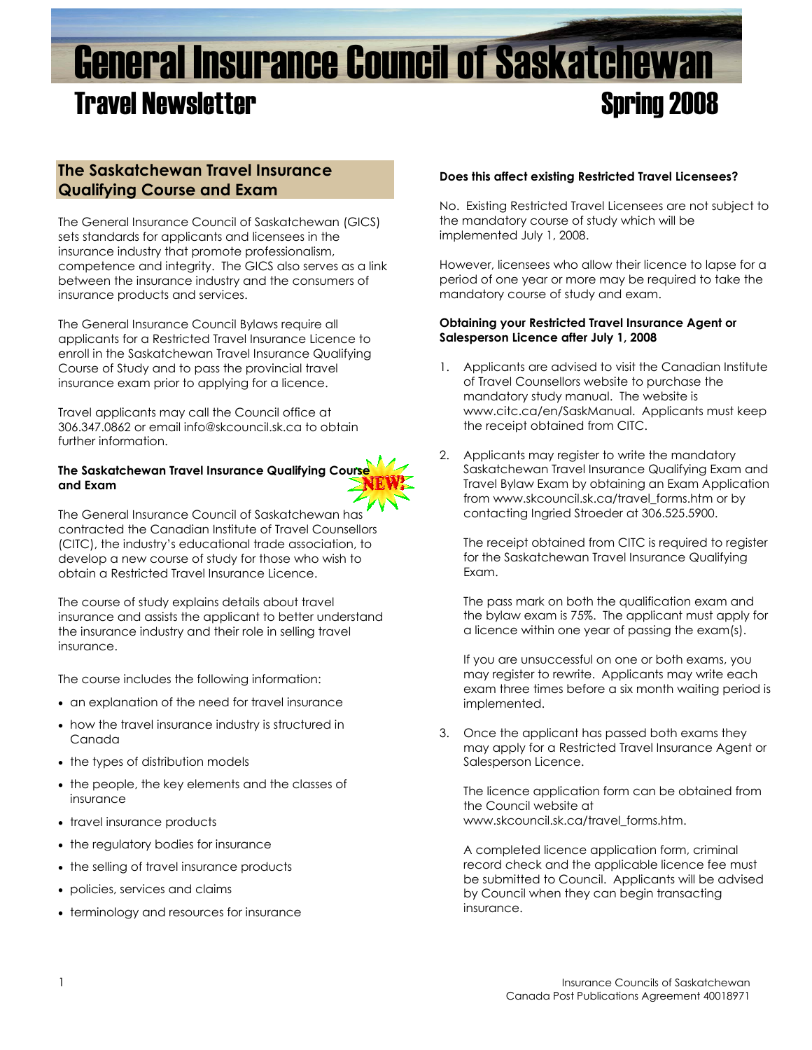# General Insurance Council of Saskatchewan **Travel Newsletter Spring 2008**

# **The Saskatchewan Travel Insurance Qualifying Course and Exam**

The General Insurance Council of Saskatchewan (GICS) sets standards for applicants and licensees in the insurance industry that promote professionalism, competence and integrity. The GICS also serves as a link between the insurance industry and the consumers of insurance products and services.

The General Insurance Council Bylaws require all applicants for a Restricted Travel Insurance Licence to enroll in the Saskatchewan Travel Insurance Qualifying Course of Study and to pass the provincial travel insurance exam prior to applying for a licence.

Travel applicants may call the Council office at 306.347.0862 or email info@skcouncil.sk.ca to obtain further information.

# **The Saskatchewan Travel Insurance Qualifying Course and Exam**

The General Insurance Council of Saskatchewan has contracted the Canadian Institute of Travel Counsellors (CITC), the industry's educational trade association, to develop a new course of study for those who wish to obtain a Restricted Travel Insurance Licence.

The course of study explains details about travel insurance and assists the applicant to better understand the insurance industry and their role in selling travel insurance.

The course includes the following information:

- an explanation of the need for travel insurance
- how the travel insurance industry is structured in Canada
- the types of distribution models
- the people, the key elements and the classes of insurance
- travel insurance products
- the regulatory bodies for insurance
- the selling of travel insurance products
- policies, services and claims
- terminology and resources for insurance

#### **Does this affect existing Restricted Travel Licensees?**

No. Existing Restricted Travel Licensees are not subject to the mandatory course of study which will be implemented July 1, 2008.

However, licensees who allow their licence to lapse for a period of one year or more may be required to take the mandatory course of study and exam.

#### **Obtaining your Restricted Travel Insurance Agent or Salesperson Licence after July 1, 2008**

- 1. Applicants are advised to visit the Canadian Institute of Travel Counsellors website to purchase the mandatory study manual. The website is www.citc.ca/en/SaskManual. Applicants must keep the receipt obtained from CITC.
- 2. Applicants may reaister to write the mandatory Saskatchewan Travel Insurance Qualifying Exam and Travel Bylaw Exam by obtaining an Exam Application from www.skcouncil.sk.ca/travel\_forms.htm or by contacting Ingried Stroeder at 306.525.5900.

The receipt obtained from CITC is required to register for the Saskatchewan Travel Insurance Qualifying Exam.

The pass mark on both the qualification exam and the bylaw exam is 75%. The applicant must apply for a licence within one year of passing the exam(s).

If you are unsuccessful on one or both exams, you may register to rewrite. Applicants may write each exam three times before a six month waiting period is implemented.

3. Once the applicant has passed both exams they may apply for a Restricted Travel Insurance Agent or Salesperson Licence.

The licence application form can be obtained from the Council website at www.skcouncil.sk.ca/travel\_forms.htm.

A completed licence application form, criminal record check and the applicable licence fee must be submitted to Council. Applicants will be advised by Council when they can begin transacting insurance.